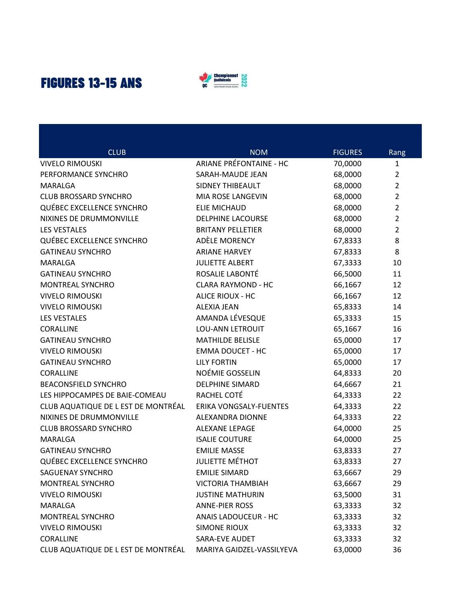## **FIGURES 13-15 ANS**



| <b>CLUB</b>                         | <b>NOM</b>                     | <b>FIGURES</b> | Rang           |
|-------------------------------------|--------------------------------|----------------|----------------|
| <b>VIVELO RIMOUSKI</b>              | <b>ARIANE PRÉFONTAINE - HC</b> | 70,0000        | $\mathbf{1}$   |
| PERFORMANCE SYNCHRO                 | SARAH-MAUDE JEAN               | 68,0000        | $\overline{2}$ |
| MARALGA                             | <b>SIDNEY THIBEAULT</b>        | 68,0000        | $\overline{2}$ |
| <b>CLUB BROSSARD SYNCHRO</b>        | MIA ROSE LANGEVIN              | 68,0000        | $\overline{2}$ |
| QUÉBEC EXCELLENCE SYNCHRO           | <b>ELIE MICHAUD</b>            | 68,0000        | $\overline{2}$ |
| NIXINES DE DRUMMONVILLE             | <b>DELPHINE LACOURSE</b>       | 68,0000        | $\overline{2}$ |
| <b>LES VESTALES</b>                 | <b>BRITANY PELLETIER</b>       | 68,0000        | $\overline{2}$ |
| QUÉBEC EXCELLENCE SYNCHRO           | ADÈLE MORENCY                  | 67,8333        | 8              |
| <b>GATINEAU SYNCHRO</b>             | <b>ARIANE HARVEY</b>           | 67,8333        | 8              |
| MARALGA                             | <b>JULIETTE ALBERT</b>         | 67,3333        | 10             |
| <b>GATINEAU SYNCHRO</b>             | ROSALIE LABONTÉ                | 66,5000        | 11             |
| MONTREAL SYNCHRO                    | <b>CLARA RAYMOND - HC</b>      | 66,1667        | 12             |
| <b>VIVELO RIMOUSKI</b>              | ALICE RIOUX - HC               | 66,1667        | 12             |
| <b>VIVELO RIMOUSKI</b>              | <b>ALEXIA JEAN</b>             | 65,8333        | 14             |
| <b>LES VESTALES</b>                 | AMANDA LÉVESQUE                | 65,3333        | 15             |
| <b>CORALLINE</b>                    | <b>LOU-ANN LETROUIT</b>        | 65,1667        | 16             |
| <b>GATINEAU SYNCHRO</b>             | <b>MATHILDE BELISLE</b>        | 65,0000        | 17             |
| <b>VIVELO RIMOUSKI</b>              | <b>EMMA DOUCET - HC</b>        | 65,0000        | 17             |
| <b>GATINEAU SYNCHRO</b>             | <b>LILY FORTIN</b>             | 65,0000        | 17             |
| <b>CORALLINE</b>                    | NOÉMIE GOSSELIN                | 64,8333        | 20             |
| <b>BEACONSFIELD SYNCHRO</b>         | <b>DELPHINE SIMARD</b>         | 64,6667        | 21             |
| LES HIPPOCAMPES DE BAIE-COMEAU      | RACHEL COTÉ                    | 64,3333        | 22             |
| CLUB AQUATIQUE DE L EST DE MONTRÉAL | ERIKA VONGSALY-FUENTES         | 64,3333        | 22             |
| NIXINES DE DRUMMONVILLE             | ALEXANDRA DIONNE               | 64,3333        | 22             |
| <b>CLUB BROSSARD SYNCHRO</b>        | ALEXANE LEPAGE                 | 64,0000        | 25             |
| MARALGA                             | <b>ISALIE COUTURE</b>          | 64,0000        | 25             |
| <b>GATINEAU SYNCHRO</b>             | <b>EMILIE MASSE</b>            | 63,8333        | 27             |
| <b>QUÉBEC EXCELLENCE SYNCHRO</b>    | <b>JULIETTE MÉTHOT</b>         | 63,8333        | 27             |
| SAGUENAY SYNCHRO                    | <b>EMILIE SIMARD</b>           | 63,6667        | 29             |
| MONTREAL SYNCHRO                    | <b>VICTORIA THAMBIAH</b>       | 63,6667        | 29             |
| <b>VIVELO RIMOUSKI</b>              | <b>JUSTINE MATHURIN</b>        | 63,5000        | 31             |
| MARALGA                             | <b>ANNE-PIER ROSS</b>          | 63,3333        | 32             |
| MONTREAL SYNCHRO                    | ANAIS LADOUCEUR - HC           | 63,3333        | 32             |
| <b>VIVELO RIMOUSKI</b>              | <b>SIMONE RIOUX</b>            | 63,3333        | 32             |
| CORALLINE                           | SARA-EVE AUDET                 | 63,3333        | 32             |
| CLUB AQUATIQUE DE L EST DE MONTRÉAL | MARIYA GAIDZEL-VASSILYEVA      | 63,0000        | 36             |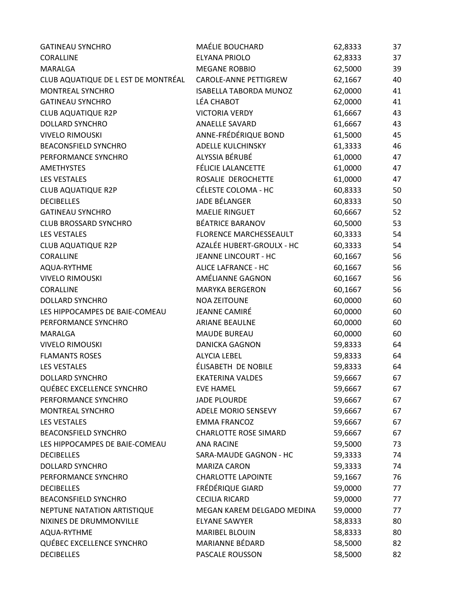| <b>GATINEAU SYNCHRO</b>             | MAÉLIE BOUCHARD               | 62,8333 | 37 |
|-------------------------------------|-------------------------------|---------|----|
| CORALLINE                           | ELYANA PRIOLO                 | 62,8333 | 37 |
| MARALGA                             | <b>MEGANE ROBBIO</b>          | 62,5000 | 39 |
| CLUB AQUATIQUE DE L EST DE MONTRÉAL | CAROLE-ANNE PETTIGREW         | 62,1667 | 40 |
| MONTREAL SYNCHRO                    | <b>ISABELLA TABORDA MUNOZ</b> | 62,0000 | 41 |
| <b>GATINEAU SYNCHRO</b>             | LÉA CHABOT                    | 62,0000 | 41 |
| <b>CLUB AQUATIQUE R2P</b>           | <b>VICTORIA VERDY</b>         | 61,6667 | 43 |
| <b>DOLLARD SYNCHRO</b>              | ANAELLE SAVARD                | 61,6667 | 43 |
| <b>VIVELO RIMOUSKI</b>              | ANNE-FRÉDÉRIQUE BOND          | 61,5000 | 45 |
| <b>BEACONSFIELD SYNCHRO</b>         | ADELLE KULCHINSKY             | 61,3333 | 46 |
| PERFORMANCE SYNCHRO                 | ALYSSIA BÉRUBÉ                | 61,0000 | 47 |
| <b>AMETHYSTES</b>                   | FÉLICIE LALANCETTE            | 61,0000 | 47 |
| <b>LES VESTALES</b>                 | ROSALIE DEROCHETTE            | 61,0000 | 47 |
| <b>CLUB AQUATIQUE R2P</b>           | CÉLESTE COLOMA - HC           | 60,8333 | 50 |
| <b>DECIBELLES</b>                   | JADE BÉLANGER                 | 60,8333 | 50 |
| <b>GATINEAU SYNCHRO</b>             | <b>MAELIE RINGUET</b>         | 60,6667 | 52 |
| <b>CLUB BROSSARD SYNCHRO</b>        | BÉATRICE BARANOV              | 60,5000 | 53 |
| <b>LES VESTALES</b>                 | FLORENCE MARCHESSEAULT        | 60,3333 | 54 |
| <b>CLUB AQUATIQUE R2P</b>           | AZALÉE HUBERT-GROULX - HC     | 60,3333 | 54 |
| CORALLINE                           | <b>JEANNE LINCOURT - HC</b>   | 60,1667 | 56 |
| AQUA-RYTHME                         | ALICE LAFRANCE - HC           | 60,1667 | 56 |
| <b>VIVELO RIMOUSKI</b>              | AMÉLIANNE GAGNON              | 60,1667 | 56 |
| CORALLINE                           | <b>MARYKA BERGERON</b>        | 60,1667 | 56 |
| <b>DOLLARD SYNCHRO</b>              | <b>NOA ZEITOUNE</b>           | 60,0000 | 60 |
| LES HIPPOCAMPES DE BAIE-COMEAU      | <b>JEANNE CAMIRÉ</b>          | 60,0000 | 60 |
| PERFORMANCE SYNCHRO                 | <b>ARIANE BEAULNE</b>         | 60,0000 | 60 |
| MARALGA                             | <b>MAUDE BUREAU</b>           | 60,0000 | 60 |
| <b>VIVELO RIMOUSKI</b>              | <b>DANICKA GAGNON</b>         | 59,8333 | 64 |
| <b>FLAMANTS ROSES</b>               | <b>ALYCIA LEBEL</b>           | 59,8333 | 64 |
| <b>LES VESTALES</b>                 | ÉLISABETH DE NOBILE           | 59,8333 | 64 |
| <b>DOLLARD SYNCHRO</b>              | <b>EKATERINA VALDES</b>       | 59,6667 | 67 |
| QUÉBEC EXCELLENCE SYNCHRO           | <b>EVE HAMEL</b>              | 59,6667 | 67 |
| PERFORMANCE SYNCHRO                 | <b>JADE PLOURDE</b>           | 59,6667 | 67 |
| MONTREAL SYNCHRO                    | <b>ADELE MORIO SENSEVY</b>    | 59,6667 | 67 |
| <b>LES VESTALES</b>                 | <b>EMMA FRANCOZ</b>           | 59,6667 | 67 |
| <b>BEACONSFIELD SYNCHRO</b>         | <b>CHARLOTTE ROSE SIMARD</b>  | 59,6667 | 67 |
| LES HIPPOCAMPES DE BAIE-COMEAU      | <b>ANA RACINE</b>             | 59,5000 | 73 |
| <b>DECIBELLES</b>                   | SARA-MAUDE GAGNON - HC        | 59,3333 | 74 |
| DOLLARD SYNCHRO                     | <b>MARIZA CARON</b>           | 59,3333 | 74 |
| PERFORMANCE SYNCHRO                 | <b>CHARLOTTE LAPOINTE</b>     | 59,1667 | 76 |
| <b>DECIBELLES</b>                   | FRÉDÉRIQUE GIARD              | 59,0000 | 77 |
| <b>BEACONSFIELD SYNCHRO</b>         | <b>CECILIA RICARD</b>         | 59,0000 | 77 |
| NEPTUNE NATATION ARTISTIQUE         | MEGAN KAREM DELGADO MEDINA    | 59,0000 | 77 |
| NIXINES DE DRUMMONVILLE             | <b>ELYANE SAWYER</b>          | 58,8333 | 80 |
| AQUA-RYTHME                         | <b>MARIBEL BLOUIN</b>         | 58,8333 | 80 |
| QUÉBEC EXCELLENCE SYNCHRO           | MARIANNE BÉDARD               | 58,5000 | 82 |
| <b>DECIBELLES</b>                   | PASCALE ROUSSON               | 58,5000 | 82 |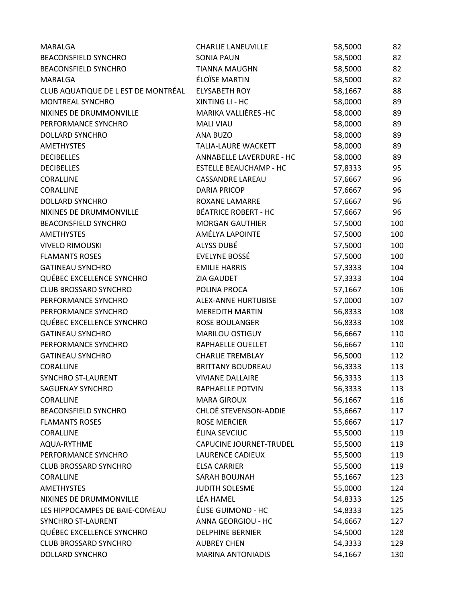| MARALGA                             | <b>CHARLIE LANEUVILLE</b>     | 58,5000 | 82  |
|-------------------------------------|-------------------------------|---------|-----|
| <b>BEACONSFIELD SYNCHRO</b>         | <b>SONIA PAUN</b>             | 58,5000 | 82  |
| <b>BEACONSFIELD SYNCHRO</b>         | <b>TIANNA MAUGHN</b>          | 58,5000 | 82  |
| MARALGA                             | ÉLOÏSE MARTIN                 | 58,5000 | 82  |
| CLUB AQUATIQUE DE L EST DE MONTRÉAL | <b>ELYSABETH ROY</b>          | 58,1667 | 88  |
| MONTREAL SYNCHRO                    | XINTING LI - HC               | 58,0000 | 89  |
| NIXINES DE DRUMMONVILLE             | MARIKA VALLIÈRES - HC         | 58,0000 | 89  |
| PERFORMANCE SYNCHRO                 | <b>MALI VIAU</b>              | 58,0000 | 89  |
| <b>DOLLARD SYNCHRO</b>              | ANA BUZO                      | 58,0000 | 89  |
| <b>AMETHYSTES</b>                   | <b>TALIA-LAURE WACKETT</b>    | 58,0000 | 89  |
| <b>DECIBELLES</b>                   | ANNABELLE LAVERDURE - HC      | 58,0000 | 89  |
| <b>DECIBELLES</b>                   | <b>ESTELLE BEAUCHAMP - HC</b> | 57,8333 | 95  |
| CORALLINE                           | <b>CASSANDRE LAREAU</b>       | 57,6667 | 96  |
| CORALLINE                           | <b>DARIA PRICOP</b>           | 57,6667 | 96  |
| <b>DOLLARD SYNCHRO</b>              | ROXANE LAMARRE                | 57,6667 | 96  |
| NIXINES DE DRUMMONVILLE             | <b>BÉATRICE ROBERT - HC</b>   | 57,6667 | 96  |
| <b>BEACONSFIELD SYNCHRO</b>         | <b>MORGAN GAUTHIER</b>        | 57,5000 | 100 |
| <b>AMETHYSTES</b>                   | AMÉLYA LAPOINTE               | 57,5000 | 100 |
| <b>VIVELO RIMOUSKI</b>              | ALYSS DUBÉ                    | 57,5000 | 100 |
| <b>FLAMANTS ROSES</b>               | EVELYNE BOSSÉ                 | 57,5000 | 100 |
| <b>GATINEAU SYNCHRO</b>             | <b>EMILIE HARRIS</b>          | 57,3333 | 104 |
| QUÉBEC EXCELLENCE SYNCHRO           | <b>ZIA GAUDET</b>             | 57,3333 | 104 |
| <b>CLUB BROSSARD SYNCHRO</b>        | POLINA PROCA                  | 57,1667 | 106 |
| PERFORMANCE SYNCHRO                 | ALEX-ANNE HURTUBISE           | 57,0000 | 107 |
| PERFORMANCE SYNCHRO                 | <b>MEREDITH MARTIN</b>        | 56,8333 | 108 |
| QUÉBEC EXCELLENCE SYNCHRO           | <b>ROSE BOULANGER</b>         | 56,8333 | 108 |
| <b>GATINEAU SYNCHRO</b>             | MARILOU OSTIGUY               | 56,6667 | 110 |
| PERFORMANCE SYNCHRO                 | RAPHAELLE OUELLET             | 56,6667 | 110 |
| <b>GATINEAU SYNCHRO</b>             | <b>CHARLIE TREMBLAY</b>       | 56,5000 | 112 |
| CORALLINE                           | <b>BRITTANY BOUDREAU</b>      | 56,3333 | 113 |
| <b>SYNCHRO ST-LAURENT</b>           | <b>VIVIANE DALLAIRE</b>       | 56,3333 | 113 |
| <b>SAGUENAY SYNCHRO</b>             | RAPHAELLE POTVIN              | 56,3333 | 113 |
| CORALLINE                           | <b>MARA GIROUX</b>            | 56,1667 | 116 |
| <b>BEACONSFIELD SYNCHRO</b>         | CHLOË STEVENSON-ADDIE         | 55,6667 | 117 |
| <b>FLAMANTS ROSES</b>               | <b>ROSE MERCIER</b>           | 55,6667 | 117 |
| <b>CORALLINE</b>                    | ÉLINA SEVCIUC                 | 55,5000 | 119 |
| AQUA-RYTHME                         | CAPUCINE JOURNET-TRUDEL       | 55,5000 | 119 |
| PERFORMANCE SYNCHRO                 | LAURENCE CADIEUX              | 55,5000 | 119 |
| <b>CLUB BROSSARD SYNCHRO</b>        | <b>ELSA CARRIER</b>           | 55,5000 | 119 |
| CORALLINE                           | SARAH BOUJNAH                 | 55,1667 | 123 |
| <b>AMETHYSTES</b>                   | JUDITH SOLESME                | 55,0000 | 124 |
| NIXINES DE DRUMMONVILLE             | LÉA HAMEL                     | 54,8333 | 125 |
| LES HIPPOCAMPES DE BAIE-COMEAU      | ÉLISE GUIMOND - HC            | 54,8333 | 125 |
| <b>SYNCHRO ST-LAURENT</b>           | ANNA GEORGIOU - HC            | 54,6667 | 127 |
| QUÉBEC EXCELLENCE SYNCHRO           | <b>DELPHINE BERNIER</b>       | 54,5000 | 128 |
| <b>CLUB BROSSARD SYNCHRO</b>        | <b>AUBREY CHEN</b>            | 54,3333 | 129 |
| DOLLARD SYNCHRO                     | <b>MARINA ANTONIADIS</b>      | 54,1667 | 130 |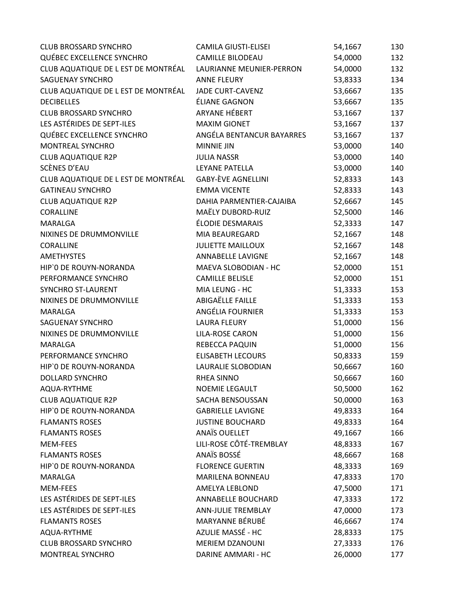| <b>CLUB BROSSARD SYNCHRO</b>        | <b>CAMILA GIUSTI-ELISEI</b> | 54,1667 | 130 |
|-------------------------------------|-----------------------------|---------|-----|
| QUÉBEC EXCELLENCE SYNCHRO           | <b>CAMILLE BILODEAU</b>     | 54,0000 | 132 |
| CLUB AQUATIQUE DE L EST DE MONTRÉAL | LAURIANNE MEUNIER-PERRON    | 54,0000 | 132 |
| <b>SAGUENAY SYNCHRO</b>             | <b>ANNE FLEURY</b>          | 53,8333 | 134 |
| CLUB AQUATIQUE DE L EST DE MONTRÉAL | <b>JADE CURT-CAVENZ</b>     | 53,6667 | 135 |
| <b>DECIBELLES</b>                   | ÉLIANE GAGNON               | 53,6667 | 135 |
| <b>CLUB BROSSARD SYNCHRO</b>        | ARYANE HÉBERT               | 53,1667 | 137 |
| LES ASTÉRIDES DE SEPT-ILES          | <b>MAXIM GIONET</b>         | 53,1667 | 137 |
| QUÉBEC EXCELLENCE SYNCHRO           | ANGÉLA BENTANCUR BAYARRES   | 53,1667 | 137 |
| MONTREAL SYNCHRO                    | <b>MINNIE JIN</b>           | 53,0000 | 140 |
| <b>CLUB AQUATIQUE R2P</b>           | <b>JULIA NASSR</b>          | 53,0000 | 140 |
| SCÈNES D'EAU                        | LEYANE PATELLA              | 53,0000 | 140 |
| CLUB AQUATIQUE DE L EST DE MONTRÉAL | <b>GABY-ÈVE AGNELLINI</b>   | 52,8333 | 143 |
| <b>GATINEAU SYNCHRO</b>             | <b>EMMA VICENTE</b>         | 52,8333 | 143 |
| <b>CLUB AQUATIQUE R2P</b>           | DAHIA PARMENTIER-CAJAIBA    | 52,6667 | 145 |
| CORALLINE                           | MAËLY DUBORD-RUIZ           | 52,5000 | 146 |
| MARALGA                             | ÉLODIE DESMARAIS            | 52,3333 | 147 |
| NIXINES DE DRUMMONVILLE             | MIA BEAUREGARD              | 52,1667 | 148 |
| CORALLINE                           | <b>JULIETTE MAILLOUX</b>    | 52,1667 | 148 |
| <b>AMETHYSTES</b>                   | ANNABELLE LAVIGNE           | 52,1667 | 148 |
| HIP'O DE ROUYN-NORANDA              | MAEVA SLOBODIAN - HC        | 52,0000 | 151 |
| PERFORMANCE SYNCHRO                 | <b>CAMILLE BELISLE</b>      | 52,0000 | 151 |
| SYNCHRO ST-LAURENT                  | MIA LEUNG - HC              | 51,3333 | 153 |
| NIXINES DE DRUMMONVILLE             | ABIGAËLLE FAILLE            | 51,3333 | 153 |
| MARALGA                             | ANGÉLIA FOURNIER            | 51,3333 | 153 |
| SAGUENAY SYNCHRO                    | <b>LAURA FLEURY</b>         | 51,0000 | 156 |
| NIXINES DE DRUMMONVILLE             | LILA-ROSE CARON             | 51,0000 | 156 |
| MARALGA                             | REBECCA PAQUIN              | 51,0000 | 156 |
| PERFORMANCE SYNCHRO                 | <b>ELISABETH LECOURS</b>    | 50,8333 | 159 |
| HIP'O DE ROUYN-NORANDA              | LAURALIE SLOBODIAN          | 50,6667 | 160 |
| <b>DOLLARD SYNCHRO</b>              | <b>RHEA SINNO</b>           | 50,6667 | 160 |
| AQUA-RYTHME                         | <b>NOEMIE LEGAULT</b>       | 50,5000 | 162 |
| <b>CLUB AQUATIQUE R2P</b>           | SACHA BENSOUSSAN            | 50,0000 | 163 |
| HIP'O DE ROUYN-NORANDA              | <b>GABRIELLE LAVIGNE</b>    | 49,8333 | 164 |
| <b>FLAMANTS ROSES</b>               | <b>JUSTINE BOUCHARD</b>     | 49,8333 | 164 |
| <b>FLAMANTS ROSES</b>               | <b>ANAÏS OUELLET</b>        | 49,1667 | 166 |
| <b>MEM-FEES</b>                     | LILI-ROSE CÔTÉ-TREMBLAY     | 48,8333 | 167 |
| <b>FLAMANTS ROSES</b>               | ANAÏS BOSSÉ                 | 48,6667 | 168 |
| HIP'O DE ROUYN-NORANDA              | <b>FLORENCE GUERTIN</b>     | 48,3333 | 169 |
| MARALGA                             | <b>MARILENA BONNEAU</b>     | 47,8333 | 170 |
| MEM-FEES                            | AMELYA LEBLOND              | 47,5000 | 171 |
| LES ASTÉRIDES DE SEPT-ILES          | ANNABELLE BOUCHARD          | 47,3333 | 172 |
| LES ASTÉRIDES DE SEPT-ILES          | ANN-JULIE TREMBLAY          | 47,0000 | 173 |
| <b>FLAMANTS ROSES</b>               | MARYANNE BÉRUBÉ             | 46,6667 | 174 |
| AQUA-RYTHME                         | AZULIE MASSÉ - HC           | 28,8333 | 175 |
| <b>CLUB BROSSARD SYNCHRO</b>        | MERIEM DZANOUNI             | 27,3333 | 176 |
| MONTREAL SYNCHRO                    | DARINE AMMARI - HC          | 26,0000 | 177 |